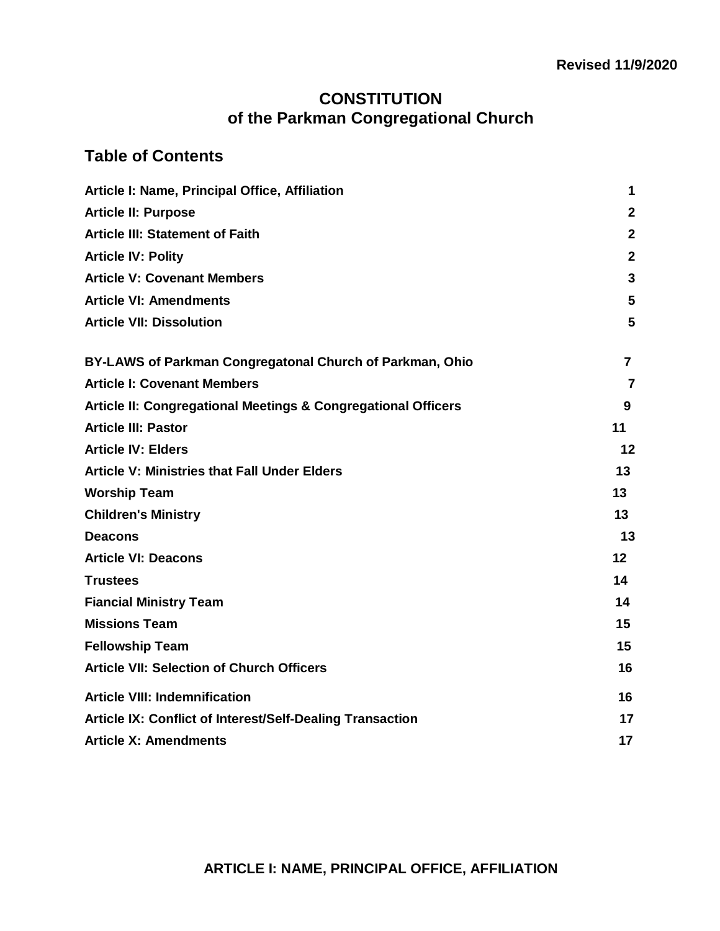# **CONSTITUTION of the Parkman Congregational Church**

# **Table of Contents**

<span id="page-0-0"></span>

| Article I: Name, Principal Office, Affiliation                   | 1                       |
|------------------------------------------------------------------|-------------------------|
| <b>Article II: Purpose</b>                                       | $\overline{\mathbf{2}}$ |
| <b>Article III: Statement of Faith</b>                           | $\mathbf{2}$            |
| <b>Article IV: Polity</b>                                        | $\mathbf{2}$            |
| <b>Article V: Covenant Members</b>                               | $\mathbf{3}$            |
| <b>Article VI: Amendments</b>                                    | 5                       |
| <b>Article VII: Dissolution</b>                                  | 5                       |
| BY-LAWS of Parkman Congregatonal Church of Parkman, Ohio         | $\overline{7}$          |
| <b>Article I: Covenant Members</b>                               | $\overline{7}$          |
| Article II: Congregational Meetings & Congregational Officers    | 9                       |
| <b>Article III: Pastor</b>                                       | 11                      |
| <b>Article IV: Elders</b>                                        | 12                      |
| <b>Article V: Ministries that Fall Under Elders</b>              | 13                      |
| <b>Worship Team</b>                                              | 13                      |
| <b>Children's Ministry</b>                                       | 13                      |
| <b>Deacons</b>                                                   | 13                      |
| <b>Article VI: Deacons</b>                                       | 12                      |
| <b>Trustees</b>                                                  | 14                      |
| <b>Fiancial Ministry Team</b>                                    | 14                      |
| <b>Missions Team</b>                                             | 15                      |
| <b>Fellowship Team</b>                                           | 15                      |
| <b>Article VII: Selection of Church Officers</b>                 | 16                      |
| <b>Article VIII: Indemnification</b>                             | 16                      |
| <b>Article IX: Conflict of Interest/Self-Dealing Transaction</b> | 17                      |
| <b>Article X: Amendments</b>                                     | 17                      |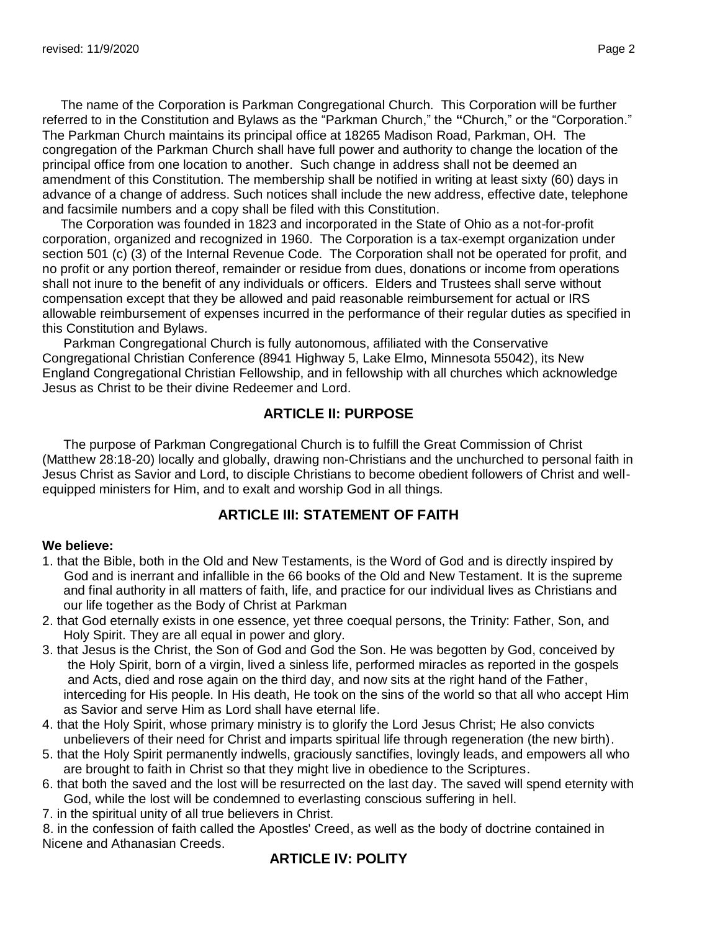The name of the Corporation is Parkman Congregational Church. This Corporation will be further referred to in the Constitution and Bylaws as the "Parkman Church," the **"**Church," or the "Corporation." The Parkman Church maintains its principal office at 18265 Madison Road, Parkman, OH. The congregation of the Parkman Church shall have full power and authority to change the location of the principal office from one location to another. Such change in address shall not be deemed an amendment of this Constitution. The membership shall be notified in writing at least sixty (60) days in advance of a change of address. Such notices shall include the new address, effective date, telephone and facsimile numbers and a copy shall be filed with this Constitution.

 The Corporation was founded in 1823 and incorporated in the State of Ohio as a not-for-profit corporation, organized and recognized in 1960. The Corporation is a tax-exempt organization under section 501 (c) (3) of the Internal Revenue Code. The Corporation shall not be operated for profit, and no profit or any portion thereof, remainder or residue from dues, donations or income from operations shall not inure to the benefit of any individuals or officers. Elders and Trustees shall serve without compensation except that they be allowed and paid reasonable reimbursement for actual or IRS allowable reimbursement of expenses incurred in the performance of their regular duties as specified in this Constitution and Bylaws.

Parkman Congregational Church is fully autonomous, affiliated with the Conservative Congregational Christian Conference (8941 Highway 5, Lake Elmo, Minnesota 55042), its New England Congregational Christian Fellowship, and in fellowship with all churches which acknowledge Jesus as Christ to be their divine Redeemer and Lord.

# **ARTICLE II: PURPOSE**

<span id="page-1-0"></span>The purpose of Parkman Congregational Church is to fulfill the Great Commission of Christ (Matthew 28:18-20) locally and globally, drawing non-Christians and the unchurched to personal faith in Jesus Christ as Savior and Lord, to disciple Christians to become obedient followers of Christ and wellequipped ministers for Him, and to exalt and worship God in all things.

#### **ARTICLE III: STATEMENT OF FAITH**

#### <span id="page-1-1"></span>**We believe:**

- 1. that the Bible, both in the Old and New Testaments, is the Word of God and is directly inspired by God and is inerrant and infallible in the 66 books of the Old and New Testament. It is the supreme and final authority in all matters of faith, life, and practice for our individual lives as Christians and our life together as the Body of Christ at Parkman
- 2. that God eternally exists in one essence, yet three coequal persons, the Trinity: Father, Son, and Holy Spirit. They are all equal in power and glory.
- 3. that Jesus is the Christ, the Son of God and God the Son. He was begotten by God, conceived by the Holy Spirit, born of a virgin, lived a sinless life, performed miracles as reported in the gospels and Acts, died and rose again on the third day, and now sits at the right hand of the Father, interceding for His people. In His death, He took on the sins of the world so that all who accept Him as Savior and serve Him as Lord shall have eternal life.
- 4. that the Holy Spirit, whose primary ministry is to glorify the Lord Jesus Christ; He also convicts unbelievers of their need for Christ and imparts spiritual life through regeneration (the new birth).
- 5. that the Holy Spirit permanently indwells, graciously sanctifies, lovingly leads, and empowers all who are brought to faith in Christ so that they might live in obedience to the Scriptures.
- 6. that both the saved and the lost will be resurrected on the last day. The saved will spend eternity with God, while the lost will be condemned to everlasting conscious suffering in hell.
- 7. in the spiritual unity of all true believers in Christ.

<span id="page-1-2"></span> 8. in the confession of faith called the Apostles' Creed, as well as the body of doctrine contained in Nicene and Athanasian Creeds.

# **ARTICLE IV: POLITY**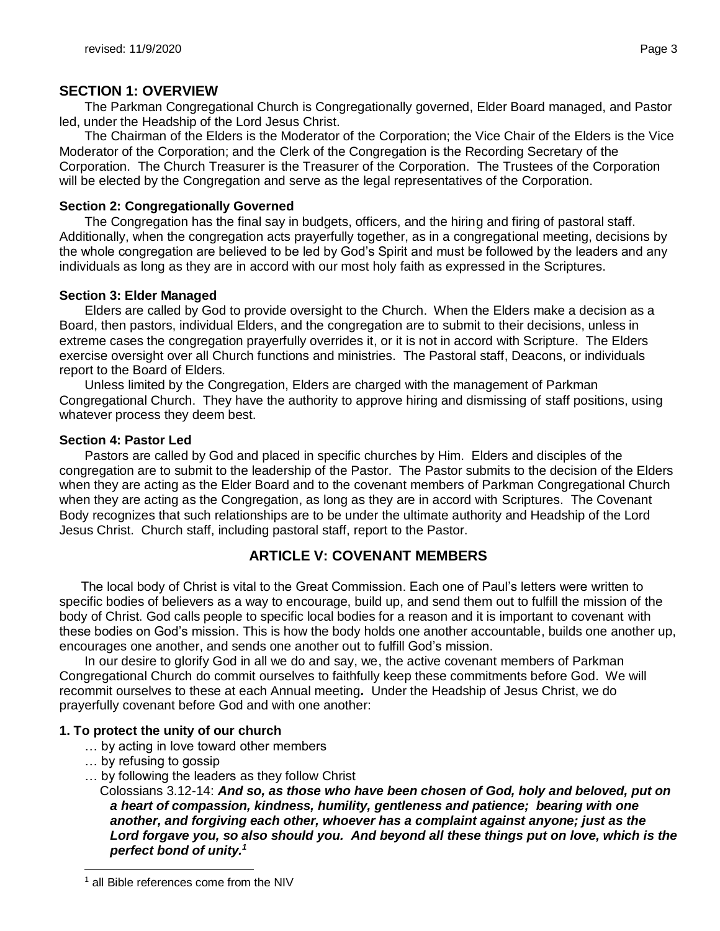## **SECTION 1: OVERVIEW**

The Parkman Congregational Church is Congregationally governed, Elder Board managed, and Pastor led, under the Headship of the Lord Jesus Christ.

The Chairman of the Elders is the Moderator of the Corporation; the Vice Chair of the Elders is the Vice Moderator of the Corporation; and the Clerk of the Congregation is the Recording Secretary of the Corporation.The Church Treasurer is the Treasurer of the Corporation.The Trustees of the Corporation will be elected by the Congregation and serve as the legal representatives of the Corporation.

#### **Section 2: Congregationally Governed**

The Congregation has the final say in budgets, officers, and the hiring and firing of pastoral staff. Additionally, when the congregation acts prayerfully together, as in a congregational meeting, decisions by the whole congregation are believed to be led by God's Spirit and must be followed by the leaders and any individuals as long as they are in accord with our most holy faith as expressed in the Scriptures.

#### **Section 3: Elder Managed**

Elders are called by God to provide oversight to the Church. When the Elders make a decision as a Board, then pastors, individual Elders, and the congregation are to submit to their decisions, unless in extreme cases the congregation prayerfully overrides it, or it is not in accord with Scripture. The Elders exercise oversight over all Church functions and ministries. The Pastoral staff, Deacons, or individuals report to the Board of Elders.

Unless limited by the Congregation, Elders are charged with the management of Parkman Congregational Church. They have the authority to approve hiring and dismissing of staff positions, using whatever process they deem best.

#### **Section 4: Pastor Led**

Pastors are called by God and placed in specific churches by Him. Elders and disciples of the congregation are to submit to the leadership of the Pastor. The Pastor submits to the decision of the Elders when they are acting as the Elder Board and to the covenant members of Parkman Congregational Church when they are acting as the Congregation, as long as they are in accord with Scriptures. The Covenant Body recognizes that such relationships are to be under the ultimate authority and Headship of the Lord Jesus Christ. Church staff, including pastoral staff, report to the Pastor.

# **ARTICLE V: COVENANT MEMBERS**

<span id="page-2-0"></span> The local body of Christ is vital to the Great Commission. Each one of Paul's letters were written to specific bodies of believers as a way to encourage, build up, and send them out to fulfill the mission of the body of Christ. God calls people to specific local bodies for a reason and it is important to covenant with these bodies on God's mission. This is how the body holds one another accountable, builds one another up, encourages one another, and sends one another out to fulfill God's mission.

In our desire to glorify God in all we do and say, we, the active covenant members of Parkman Congregational Church do commit ourselves to faithfully keep these commitments before God. We will recommit ourselves to these at each Annual meeting*.* Under the Headship of Jesus Christ, we do prayerfully covenant before God and with one another:

#### **1. To protect the unity of our church**

- … by acting in love toward other members
- … by refusing to gossip

 $\overline{a}$ 

… by following the leaders as they follow Christ

 Colossians 3.12-14: *And so, as those who have been chosen of God, holy and beloved, put on a heart of compassion, kindness, humility, gentleness and patience; bearing with one another, and forgiving each other, whoever has a complaint against anyone; just as the Lord forgave you, so also should you. And beyond all these things put on love, which is the perfect bond of unity.<sup>1</sup>*

 $<sup>1</sup>$  all Bible references come from the NIV</sup>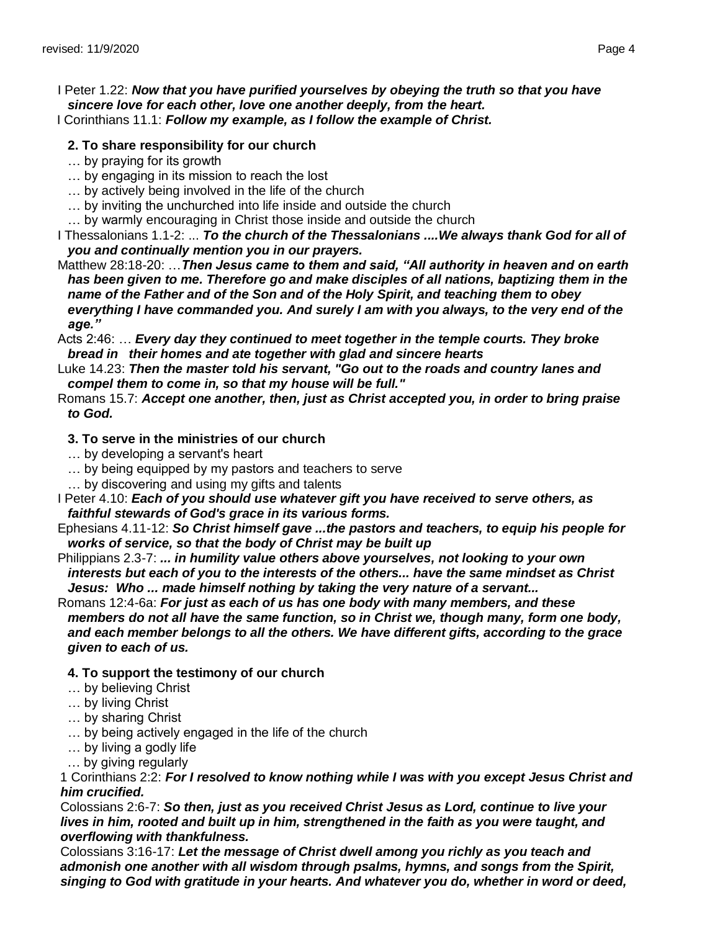#### I Peter 1.22: *Now that you have purified yourselves by obeying the truth so that you have sincere love for each other, love one another deeply, from the heart.* I Corinthians 11.1: *Follow my example, as I follow the example of Christ.*

#### **2. To share responsibility for our church**

- … by praying for its growth
- … by engaging in its mission to reach the lost
- … by actively being involved in the life of the church
- … by inviting the unchurched into life inside and outside the church
- … by warmly encouraging in Christ those inside and outside the church
- I Thessalonians 1.1-2: ... *To the church of the Thessalonians ....We always thank God for all of you and continually mention you in our prayers.*
- Matthew 28:18-20: …*Then Jesus came to them and said, "All authority in heaven and on earth has been given to me. Therefore go and make disciples of all nations, baptizing them in the name of the Father and of the Son and of the Holy Spirit, and teaching them to obey everything I have commanded you. And surely I am with you always, to the very end of the age."*
- Acts 2:46: … *Every day they continued to meet together in the temple courts. They broke bread in their homes and ate together with glad and sincere hearts*
- Luke 14.23: *Then the master told his servant, "Go out to the roads and country lanes and compel them to come in, so that my house will be full."*
- Romans 15.7: *Accept one another, then, just as Christ accepted you, in order to bring praise to God.*

#### **3. To serve in the ministries of our church**

- … by developing a servant's heart
- … by being equipped by my pastors and teachers to serve
- … by discovering and using my gifts and talents
- I Peter 4.10: *Each of you should use whatever gift you have received to serve others, as faithful stewards of God's grace in its various forms.*
- Ephesians 4.11-12: *So Christ himself gave ...the pastors and teachers, to equip his people for works of service, so that the body of Christ may be built up*
- Philippians 2.3-7: *... in humility value others above yourselves, not looking to your own interests but each of you to the interests of the others... have the same mindset as Christ Jesus: Who ... made himself nothing by taking the very nature of a servant...*

 Romans 12:4-6a: *For just as each of us has one body with many members, and these members do not all have the same function, so in Christ we, though many, form one body, and each member belongs to all the others. We have different gifts, according to the grace given to each of us.*

#### **4. To support the testimony of our church**

- … by believing Christ
- … by living Christ
- … by sharing Christ
- … by being actively engaged in the life of the church
- … by living a godly life
- … by giving regularly

 1 Corinthians 2:2: *For I resolved to know nothing while I was with you except Jesus Christ and him crucified.*

 Colossians 2:6-7: *So then, just as you received Christ Jesus as Lord, continue to live your lives in him, rooted and built up in him, strengthened in the faith as you were taught, and overflowing with thankfulness.*

 Colossians 3:16-17: *Let the message of Christ dwell among you richly as you teach and admonish one another with all wisdom through psalms, hymns, and songs from the Spirit, singing to God with gratitude in your hearts. And whatever you do, whether in word or deed,*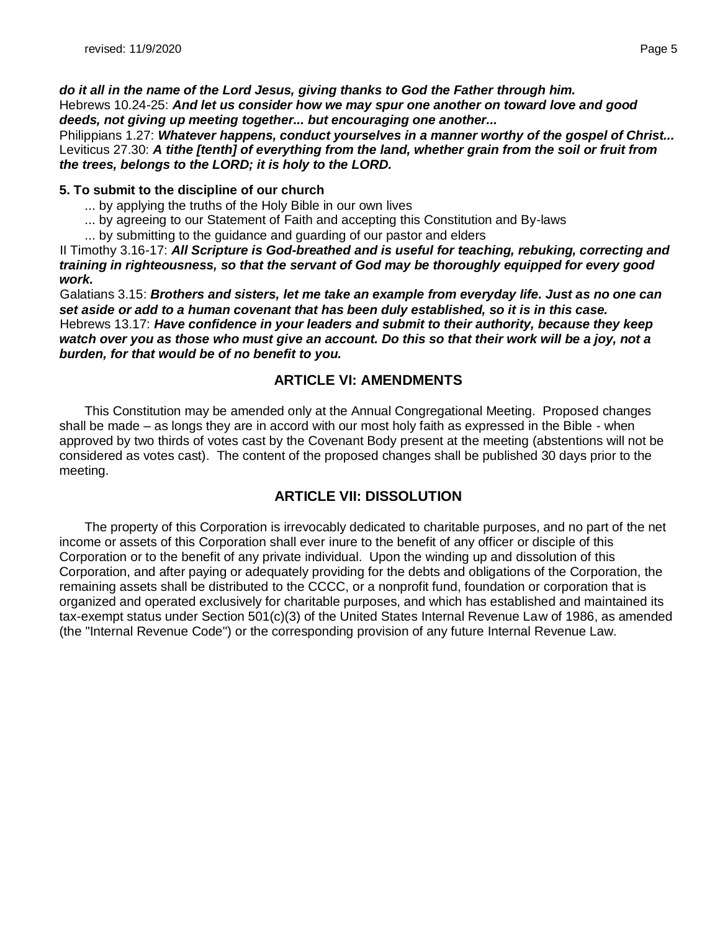*do it all in the name of the Lord Jesus, giving thanks to God the Father through him.* Hebrews 10.24-25: *And let us consider how we may spur one another on toward love and good deeds, not giving up meeting together... but encouraging one another...*

Philippians 1.27: *Whatever happens, conduct yourselves in a manner worthy of the gospel of Christ...* Leviticus 27.30: *A tithe [tenth] of everything from the land, whether grain from the soil or fruit from the trees, belongs to the LORD; it is holy to the LORD.*

#### **5. To submit to the discipline of our church**

- ... by applying the truths of the Holy Bible in our own lives
- ... by agreeing to our Statement of Faith and accepting this Constitution and By-laws
- ... by submitting to the guidance and guarding of our pastor and elders

 II Timothy 3.16-17: *All Scripture is God-breathed and is useful for teaching, rebuking, correcting and training in righteousness, so that the servant of God may be thoroughly equipped for every good work.*

 Galatians 3.15: *Brothers and sisters, let me take an example from everyday life. Just as no one can set aside or add to a human covenant that has been duly established, so it is in this case.* Hebrews 13.17: *Have confidence in your leaders and submit to their authority, because they keep*  watch over you as those who must give an account. Do this so that their work will be a joy, not a *burden, for that would be of no benefit to you.*

# **ARTICLE VI: AMENDMENTS**

<span id="page-4-0"></span>This Constitution may be amended only at the Annual Congregational Meeting. Proposed changes shall be made – as longs they are in accord with our most holy faith as expressed in the Bible - when approved by two thirds of votes cast by the Covenant Body present at the meeting (abstentions will not be considered as votes cast). The content of the proposed changes shall be published 30 days prior to the meeting.

# **ARTICLE VII: DISSOLUTION**

<span id="page-4-1"></span>The property of this Corporation is irrevocably dedicated to charitable purposes, and no part of the net income or assets of this Corporation shall ever inure to the benefit of any officer or disciple of this Corporation or to the benefit of any private individual. Upon the winding up and dissolution of this Corporation, and after paying or adequately providing for the debts and obligations of the Corporation, the remaining assets shall be distributed to the CCCC, or a nonprofit fund, foundation or corporation that is organized and operated exclusively for charitable purposes, and which has established and maintained its tax-exempt status under Section 501(c)(3) of the United States Internal Revenue Law of 1986, as amended (the "Internal Revenue Code") or the corresponding provision of any future Internal Revenue Law.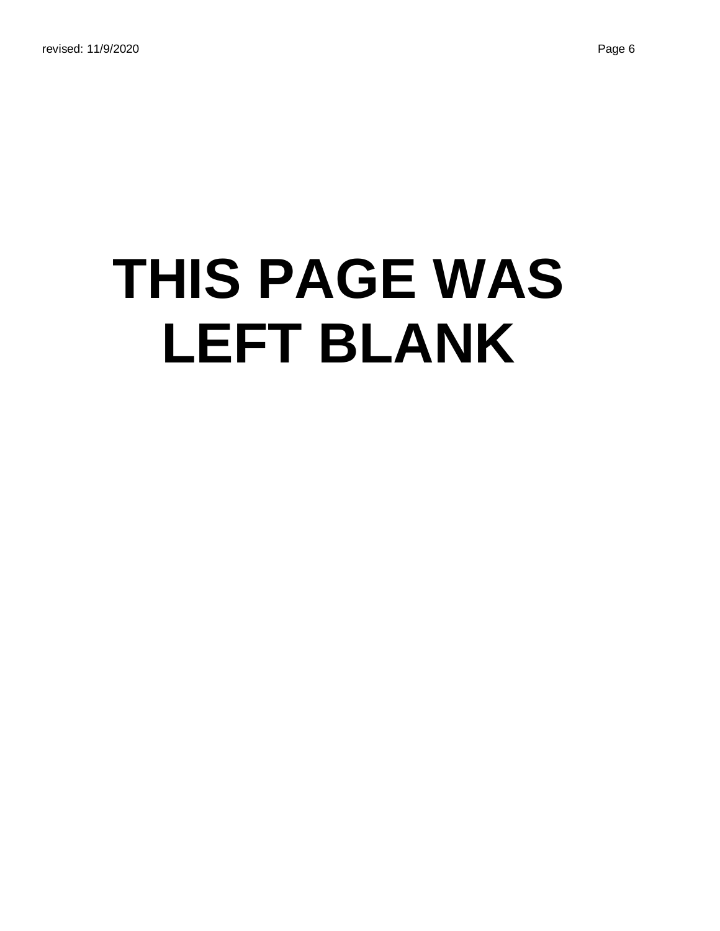# **THIS PAGE WAS LEFT BLANK**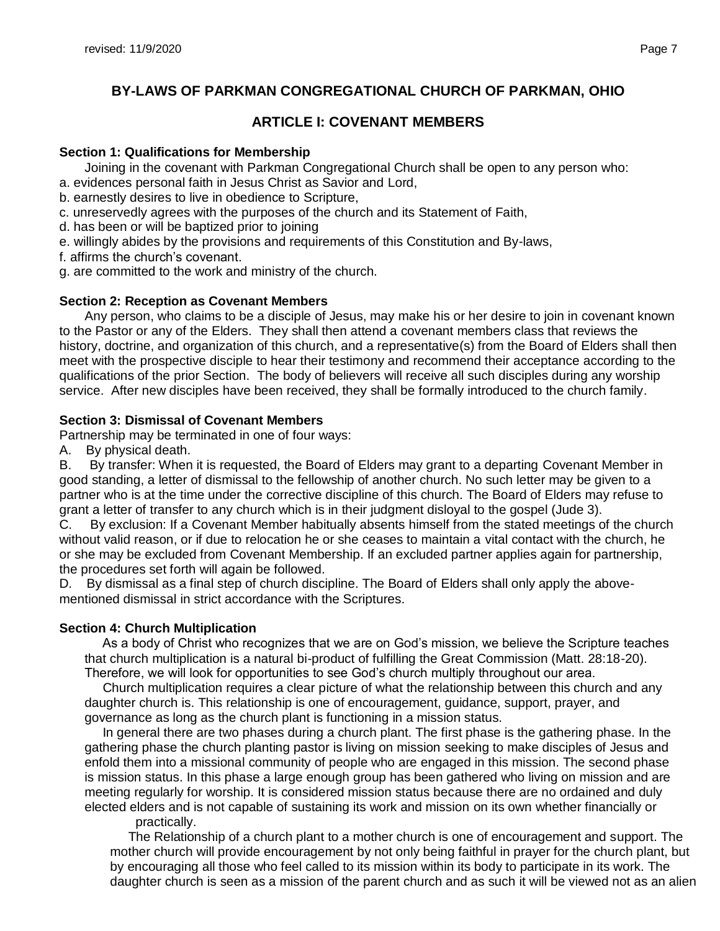# **BY-LAWS OF PARKMAN CONGREGATIONAL CHURCH OF PARKMAN, OHIO**

# **ARTICLE I: COVENANT MEMBERS**

#### <span id="page-6-0"></span>**Section 1: Qualifications for Membership**

Joining in the covenant with Parkman Congregational Church shall be open to any person who:

a. evidences personal faith in Jesus Christ as Savior and Lord,

b. earnestly desires to live in obedience to Scripture,

c. unreservedly agrees with the purposes of the church and its Statement of Faith,

d. has been or will be baptized prior to joining

e. willingly abides by the provisions and requirements of this Constitution and By-laws,

f. affirms the church's covenant.

g. are committed to the work and ministry of the church.

#### **Section 2: Reception as Covenant Members**

Any person, who claims to be a disciple of Jesus, may make his or her desire to join in covenant known to the Pastor or any of the Elders. They shall then attend a covenant members class that reviews the history, doctrine, and organization of this church, and a representative(s) from the Board of Elders shall then meet with the prospective disciple to hear their testimony and recommend their acceptance according to the qualifications of the prior Section. The body of believers will receive all such disciples during any worship service. After new disciples have been received, they shall be formally introduced to the church family.

#### **Section 3: Dismissal of Covenant Members**

Partnership may be terminated in one of four ways:

A. By physical death.

B. By transfer: When it is requested, the Board of Elders may grant to a departing Covenant Member in good standing, a letter of dismissal to the fellowship of another church. No such letter may be given to a partner who is at the time under the corrective discipline of this church. The Board of Elders may refuse to grant a letter of transfer to any church which is in their judgment disloyal to the gospel (Jude 3).

C. By exclusion: If a Covenant Member habitually absents himself from the stated meetings of the church without valid reason, or if due to relocation he or she ceases to maintain a vital contact with the church, he or she may be excluded from Covenant Membership. If an excluded partner applies again for partnership, the procedures set forth will again be followed.

D. By dismissal as a final step of church discipline. The Board of Elders shall only apply the abovementioned dismissal in strict accordance with the Scriptures.

#### **Section 4: Church Multiplication**

 As a body of Christ who recognizes that we are on God's mission, we believe the Scripture teaches that church multiplication is a natural bi-product of fulfilling the Great Commission (Matt. 28:18-20). Therefore, we will look for opportunities to see God's church multiply throughout our area.

 Church multiplication requires a clear picture of what the relationship between this church and any daughter church is. This relationship is one of encouragement, guidance, support, prayer, and governance as long as the church plant is functioning in a mission status.

 In general there are two phases during a church plant. The first phase is the gathering phase. In the gathering phase the church planting pastor is living on mission seeking to make disciples of Jesus and enfold them into a missional community of people who are engaged in this mission. The second phase is mission status. In this phase a large enough group has been gathered who living on mission and are meeting regularly for worship. It is considered mission status because there are no ordained and duly elected elders and is not capable of sustaining its work and mission on its own whether financially or

practically.

 The Relationship of a church plant to a mother church is one of encouragement and support. The mother church will provide encouragement by not only being faithful in prayer for the church plant, but by encouraging all those who feel called to its mission within its body to participate in its work. The daughter church is seen as a mission of the parent church and as such it will be viewed not as an alien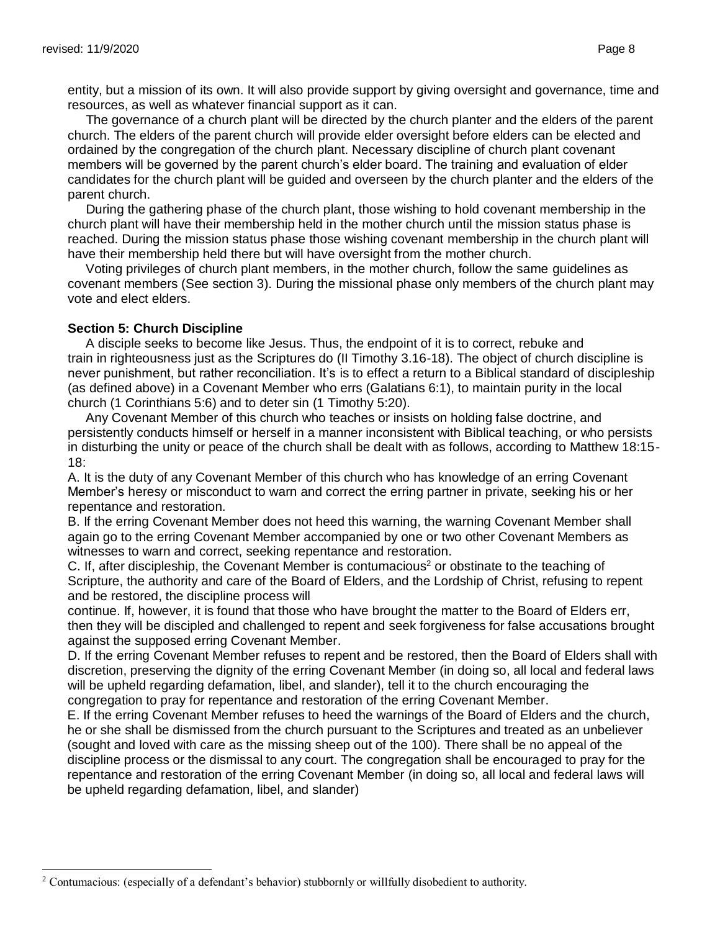$\overline{a}$ 

entity, but a mission of its own. It will also provide support by giving oversight and governance, time and resources, as well as whatever financial support as it can.

 The governance of a church plant will be directed by the church planter and the elders of the parent church. The elders of the parent church will provide elder oversight before elders can be elected and ordained by the congregation of the church plant. Necessary discipline of church plant covenant members will be governed by the parent church's elder board. The training and evaluation of elder candidates for the church plant will be guided and overseen by the church planter and the elders of the parent church.

 During the gathering phase of the church plant, those wishing to hold covenant membership in the church plant will have their membership held in the mother church until the mission status phase is reached. During the mission status phase those wishing covenant membership in the church plant will have their membership held there but will have oversight from the mother church.

 Voting privileges of church plant members, in the mother church, follow the same guidelines as covenant members (See section 3). During the missional phase only members of the church plant may vote and elect elders.

#### **Section 5: Church Discipline**

 A disciple seeks to become like Jesus. Thus, the endpoint of it is to correct, rebuke and train in righteousness just as the Scriptures do (II Timothy 3.16-18). The object of church discipline is never punishment, but rather reconciliation. It's is to effect a return to a Biblical standard of discipleship (as defined above) in a Covenant Member who errs (Galatians 6:1), to maintain purity in the local church (1 Corinthians 5:6) and to deter sin (1 Timothy 5:20).

 Any Covenant Member of this church who teaches or insists on holding false doctrine, and persistently conducts himself or herself in a manner inconsistent with Biblical teaching, or who persists in disturbing the unity or peace of the church shall be dealt with as follows, according to Matthew 18:15- 18:

A. It is the duty of any Covenant Member of this church who has knowledge of an erring Covenant Member's heresy or misconduct to warn and correct the erring partner in private, seeking his or her repentance and restoration.

B. If the erring Covenant Member does not heed this warning, the warning Covenant Member shall again go to the erring Covenant Member accompanied by one or two other Covenant Members as witnesses to warn and correct, seeking repentance and restoration.

C. If, after discipleship, the Covenant Member is contumacious<sup>2</sup> or obstinate to the teaching of Scripture, the authority and care of the Board of Elders, and the Lordship of Christ, refusing to repent and be restored, the discipline process will

continue. If, however, it is found that those who have brought the matter to the Board of Elders err, then they will be discipled and challenged to repent and seek forgiveness for false accusations brought against the supposed erring Covenant Member.

D. If the erring Covenant Member refuses to repent and be restored, then the Board of Elders shall with discretion, preserving the dignity of the erring Covenant Member (in doing so, all local and federal laws will be upheld regarding defamation, libel, and slander), tell it to the church encouraging the congregation to pray for repentance and restoration of the erring Covenant Member.

 E. If the erring Covenant Member refuses to heed the warnings of the Board of Elders and the church, he or she shall be dismissed from the church pursuant to the Scriptures and treated as an unbeliever (sought and loved with care as the missing sheep out of the 100). There shall be no appeal of the discipline process or the dismissal to any court. The congregation shall be encouraged to pray for the repentance and restoration of the erring Covenant Member (in doing so, all local and federal laws will be upheld regarding defamation, libel, and slander)

<sup>2</sup> Contumacious: (especially of a defendant's behavior) stubbornly or willfully disobedient to authority.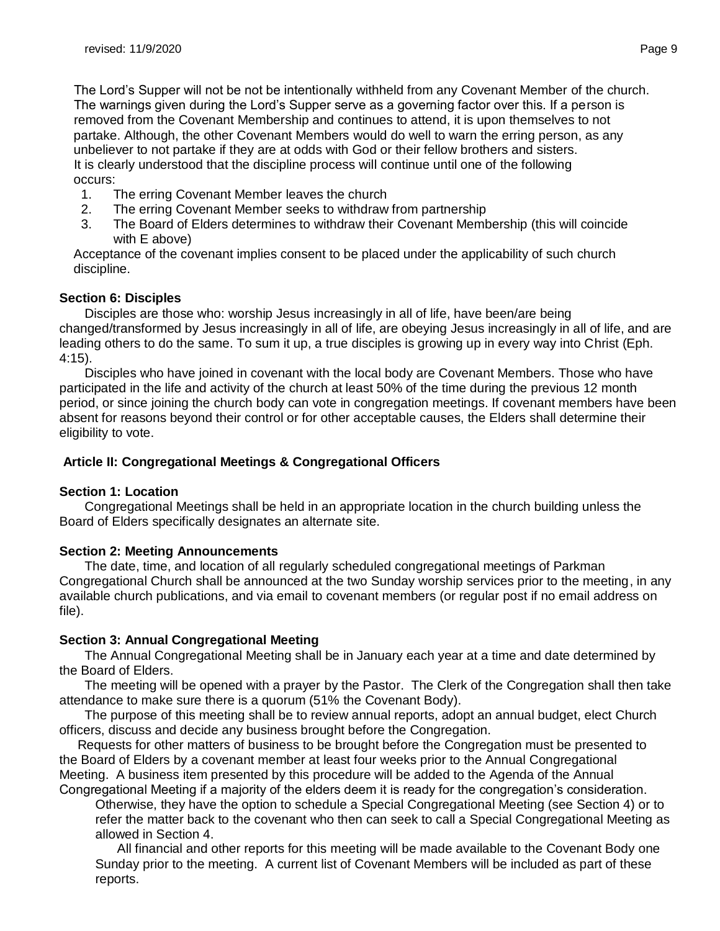The Lord's Supper will not be not be intentionally withheld from any Covenant Member of the church. The warnings given during the Lord's Supper serve as a governing factor over this. If a person is removed from the Covenant Membership and continues to attend, it is upon themselves to not partake. Although, the other Covenant Members would do well to warn the erring person, as any unbeliever to not partake if they are at odds with God or their fellow brothers and sisters. It is clearly understood that the discipline process will continue until one of the following occurs:

- 1. The erring Covenant Member leaves the church
- 2. The erring Covenant Member seeks to withdraw from partnership
- 3. The Board of Elders determines to withdraw their Covenant Membership (this will coincide with E above)

 Acceptance of the covenant implies consent to be placed under the applicability of such church discipline.

#### **Section 6: Disciples**

 Disciples are those who: worship Jesus increasingly in all of life, have been/are being changed/transformed by Jesus increasingly in all of life, are obeying Jesus increasingly in all of life, and are leading others to do the same. To sum it up, a true disciples is growing up in every way into Christ (Eph. 4:15).

Disciples who have joined in covenant with the local body are Covenant Members. Those who have participated in the life and activity of the church at least 50% of the time during the previous 12 month period, or since joining the church body can vote in congregation meetings. If covenant members have been absent for reasons beyond their control or for other acceptable causes, the Elders shall determine their eligibility to vote.

#### **Article II: Congregational Meetings & Congregational Officers**

#### **Section 1: Location**

Congregational Meetings shall be held in an appropriate location in the church building unless the Board of Elders specifically designates an alternate site.

#### **Section 2: Meeting Announcements**

The date, time, and location of all regularly scheduled congregational meetings of Parkman Congregational Church shall be announced at the two Sunday worship services prior to the meeting, in any available church publications, and via email to covenant members (or regular post if no email address on file).

#### **Section 3: Annual Congregational Meeting**

The Annual Congregational Meeting shall be in January each year at a time and date determined by the Board of Elders.

The meeting will be opened with a prayer by the Pastor. The Clerk of the Congregation shall then take attendance to make sure there is a quorum (51% the Covenant Body).

The purpose of this meeting shall be to review annual reports, adopt an annual budget, elect Church officers, discuss and decide any business brought before the Congregation.

 Requests for other matters of business to be brought before the Congregation must be presented to the Board of Elders by a covenant member at least four weeks prior to the Annual Congregational Meeting. A business item presented by this procedure will be added to the Agenda of the Annual Congregational Meeting if a majority of the elders deem it is ready for the congregation's consideration.

 Otherwise, they have the option to schedule a Special Congregational Meeting (see Section 4) or to refer the matter back to the covenant who then can seek to call a Special Congregational Meeting as allowed in Section 4.

 All financial and other reports for this meeting will be made available to the Covenant Body one Sunday prior to the meeting. A current list of Covenant Members will be included as part of these reports.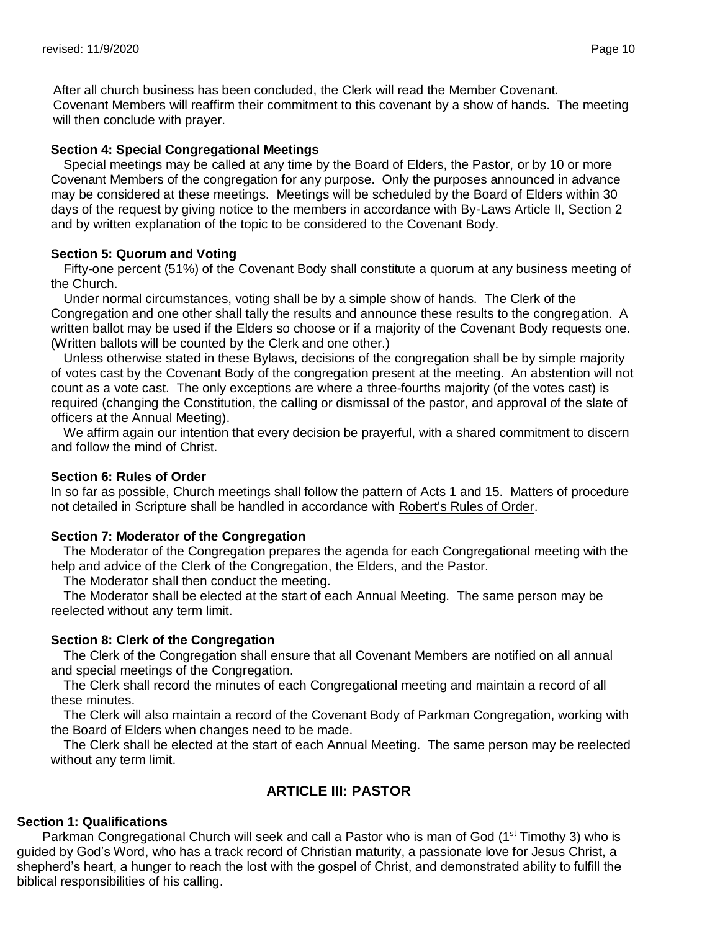After all church business has been concluded, the Clerk will read the Member Covenant. Covenant Members will reaffirm their commitment to this covenant by a show of hands. The meeting will then conclude with prayer.

#### **Section 4: Special Congregational Meetings**

Special meetings may be called at any time by the Board of Elders, the Pastor, or by 10 or more Covenant Members of the congregation for any purpose. Only the purposes announced in advance may be considered at these meetings. Meetings will be scheduled by the Board of Elders within 30 days of the request by giving notice to the members in accordance with By-Laws Article II, Section 2 and by written explanation of the topic to be considered to the Covenant Body.

## **Section 5: Quorum and Voting**

Fifty-one percent (51%) of the Covenant Body shall constitute a quorum at any business meeting of the Church.

Under normal circumstances, voting shall be by a simple show of hands. The Clerk of the Congregation and one other shall tally the results and announce these results to the congregation. A written ballot may be used if the Elders so choose or if a majority of the Covenant Body requests one. (Written ballots will be counted by the Clerk and one other.)

Unless otherwise stated in these Bylaws, decisions of the congregation shall be by simple majority of votes cast by the Covenant Body of the congregation present at the meeting. An abstention will not count as a vote cast. The only exceptions are where a three-fourths majority (of the votes cast) is required (changing the Constitution, the calling or dismissal of the pastor, and approval of the slate of officers at the Annual Meeting).

We affirm again our intention that every decision be prayerful, with a shared commitment to discern and follow the mind of Christ.

# **Section 6: Rules of Order**

In so far as possible, Church meetings shall follow the pattern of Acts 1 and 15. Matters of procedure not detailed in Scripture shall be handled in accordance with Robert's Rules of Order.

# **Section 7: Moderator of the Congregation**

The Moderator of the Congregation prepares the agenda for each Congregational meeting with the help and advice of the Clerk of the Congregation, the Elders, and the Pastor.

The Moderator shall then conduct the meeting.

The Moderator shall be elected at the start of each Annual Meeting. The same person may be reelected without any term limit.

# **Section 8: Clerk of the Congregation**

The Clerk of the Congregation shall ensure that all Covenant Members are notified on all annual and special meetings of the Congregation.

The Clerk shall record the minutes of each Congregational meeting and maintain a record of all these minutes.

The Clerk will also maintain a record of the Covenant Body of Parkman Congregation, working with the Board of Elders when changes need to be made.

<span id="page-9-0"></span>The Clerk shall be elected at the start of each Annual Meeting. The same person may be reelected without any term limit.

# **ARTICLE III: PASTOR**

# **Section 1: Qualifications**

Parkman Congregational Church will seek and call a Pastor who is man of God (1<sup>st</sup> Timothy 3) who is guided by God's Word, who has a track record of Christian maturity, a passionate love for Jesus Christ, a shepherd's heart, a hunger to reach the lost with the gospel of Christ, and demonstrated ability to fulfill the biblical responsibilities of his calling.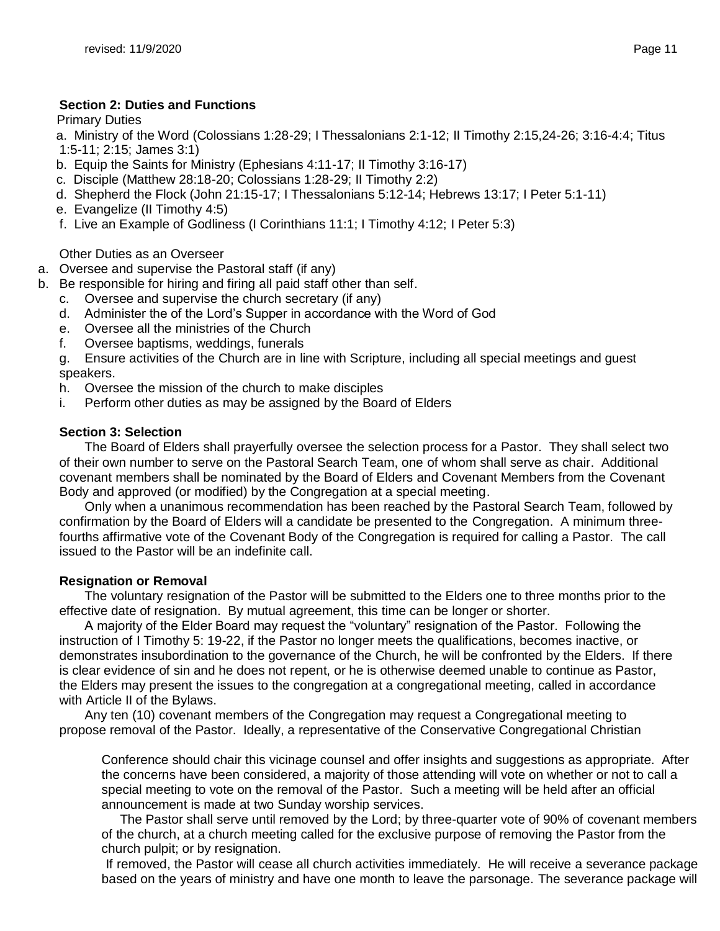# **Section 2: Duties and Functions**

Primary Duties

- a. Ministry of the Word (Colossians 1:28-29; I Thessalonians 2:1-12; II Timothy 2:15,24-26; 3:16-4:4; Titus 1:5-11; 2:15; James 3:1)
- b. Equip the Saints for Ministry (Ephesians 4:11-17; II Timothy 3:16-17)
- c. Disciple (Matthew 28:18-20; Colossians 1:28-29; II Timothy 2:2)
- d. Shepherd the Flock (John 21:15-17; I Thessalonians 5:12-14; Hebrews 13:17; I Peter 5:1-11)
- e. Evangelize (II Timothy 4:5)
- f. Live an Example of Godliness (I Corinthians 11:1; I Timothy 4:12; I Peter 5:3)

Other Duties as an Overseer

- a. Oversee and supervise the Pastoral staff (if any)
- b. Be responsible for hiring and firing all paid staff other than self.
	- c. Oversee and supervise the church secretary (if any)
	- d. Administer the of the Lord's Supper in accordance with the Word of God
	- e. Oversee all the ministries of the Church
	- f. Oversee baptisms, weddings, funerals
	- g. Ensure activities of the Church are in line with Scripture, including all special meetings and guest speakers.
	- h. Oversee the mission of the church to make disciples
	- i. Perform other duties as may be assigned by the Board of Elders

## **Section 3: Selection**

The Board of Elders shall prayerfully oversee the selection process for a Pastor. They shall select two of their own number to serve on the Pastoral Search Team, one of whom shall serve as chair. Additional covenant members shall be nominated by the Board of Elders and Covenant Members from the Covenant Body and approved (or modified) by the Congregation at a special meeting.

Only when a unanimous recommendation has been reached by the Pastoral Search Team, followed by confirmation by the Board of Elders will a candidate be presented to the Congregation. A minimum threefourths affirmative vote of the Covenant Body of the Congregation is required for calling a Pastor. The call issued to the Pastor will be an indefinite call.

#### **Resignation or Removal**

The voluntary resignation of the Pastor will be submitted to the Elders one to three months prior to the effective date of resignation. By mutual agreement, this time can be longer or shorter.

A majority of the Elder Board may request the "voluntary" resignation of the Pastor. Following the instruction of I Timothy 5: 19-22, if the Pastor no longer meets the qualifications, becomes inactive, or demonstrates insubordination to the governance of the Church, he will be confronted by the Elders. If there is clear evidence of sin and he does not repent, or he is otherwise deemed unable to continue as Pastor, the Elders may present the issues to the congregation at a congregational meeting, called in accordance with Article II of the Bylaws.

Any ten (10) covenant members of the Congregation may request a Congregational meeting to propose removal of the Pastor. Ideally, a representative of the Conservative Congregational Christian

Conference should chair this vicinage counsel and offer insights and suggestions as appropriate. After the concerns have been considered, a majority of those attending will vote on whether or not to call a special meeting to vote on the removal of the Pastor. Such a meeting will be held after an official announcement is made at two Sunday worship services.

 The Pastor shall serve until removed by the Lord; by three-quarter vote of 90% of covenant members of the church, at a church meeting called for the exclusive purpose of removing the Pastor from the church pulpit; or by resignation.

If removed, the Pastor will cease all church activities immediately. He will receive a severance package based on the years of ministry and have one month to leave the parsonage. The severance package will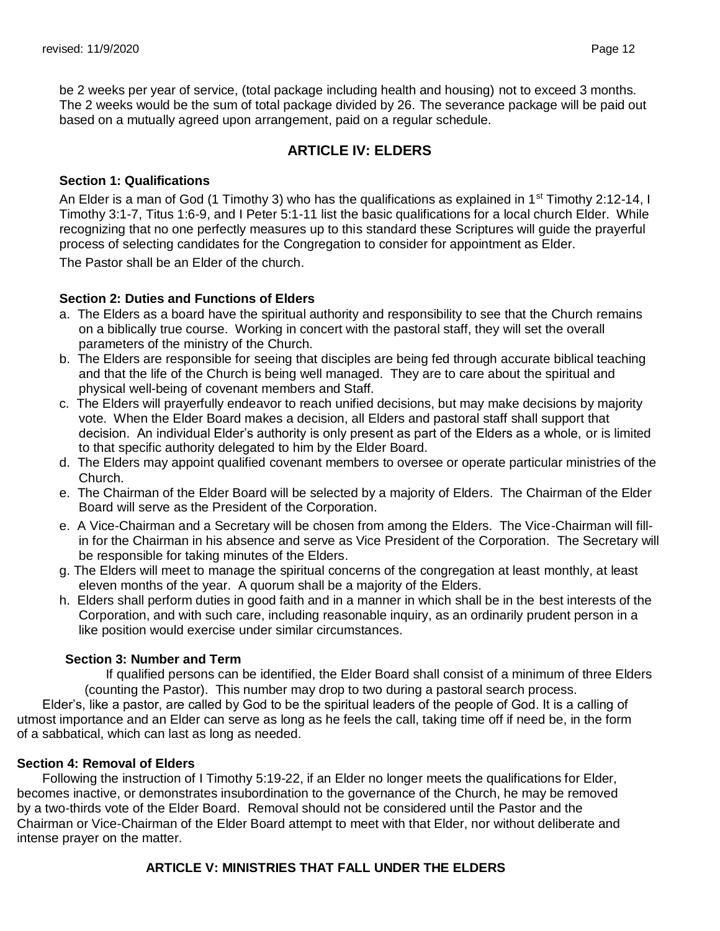be 2 weeks per year of service, (total package including health and housing) not to exceed 3 months. The 2 weeks would be the sum of total package divided by 26. The severance package will be paid out based on a mutually agreed upon arrangement, paid on a regular schedule.

# **ARTICLE IV: ELDERS**

#### <span id="page-11-0"></span>**Section 1: Qualifications**

An Elder is a man of God (1 Timothy 3) who has the qualifications as explained in 1<sup>st</sup> Timothy 2:12-14, I Timothy 3:1-7, Titus 1:6-9, and I Peter 5:1-11 list the basic qualifications for a local church Elder. While recognizing that no one perfectly measures up to this standard these Scriptures will guide the prayerful process of selecting candidates for the Congregation to consider for appointment as Elder.

The Pastor shall be an Elder of the church.

#### **Section 2: Duties and Functions of Elders**

- a. The Elders as a board have the spiritual authority and responsibility to see that the Church remains on a biblically true course. Working in concert with the pastoral staff, they will set the overall parameters of the ministry of the Church.
- b. The Elders are responsible for seeing that disciples are being fed through accurate biblical teaching and that the life of the Church is being well managed. They are to care about the spiritual and physical well-being of covenant members and Staff.
- c. The Elders will prayerfully endeavor to reach unified decisions, but may make decisions by majority vote. When the Elder Board makes a decision, all Elders and pastoral staff shall support that decision. An individual Elder's authority is only present as part of the Elders as a whole, or is limited to that specific authority delegated to him by the Elder Board.
- d. The Elders may appoint qualified covenant members to oversee or operate particular ministries of the Church.
- e. The Chairman of the Elder Board will be selected by a majority of Elders. The Chairman of the Elder Board will serve as the President of the Corporation.
- e. A Vice-Chairman and a Secretary will be chosen from among the Elders. The Vice-Chairman will fillin for the Chairman in his absence and serve as Vice President of the Corporation. The Secretary will be responsible for taking minutes of the Elders.
- g. The Elders will meet to manage the spiritual concerns of the congregation at least monthly, at least eleven months of the year. A quorum shall be a majority of the Elders.
- h. Elders shall perform duties in good faith and in a manner in which shall be in the best interests of the Corporation, and with such care, including reasonable inquiry, as an ordinarily prudent person in a like position would exercise under similar circumstances.

#### **Section 3: Number and Term**

If qualified persons can be identified, the Elder Board shall consist of a minimum of three Elders (counting the Pastor). This number may drop to two during a pastoral search process.

Elder's, like a pastor, are called by God to be the spiritual leaders of the people of God. It is a calling of utmost importance and an Elder can serve as long as he feels the call, taking time off if need be, in the form of a sabbatical, which can last as long as needed.

#### **Section 4: Removal of Elders**

Following the instruction of I Timothy 5:19-22, if an Elder no longer meets the qualifications for Elder, becomes inactive, or demonstrates insubordination to the governance of the Church, he may be removed by a two-thirds vote of the Elder Board. Removal should not be considered until the Pastor and the Chairman or Vice-Chairman of the Elder Board attempt to meet with that Elder, nor without deliberate and intense prayer on the matter.

# **ARTICLE V: MINISTRIES THAT FALL UNDER THE ELDERS**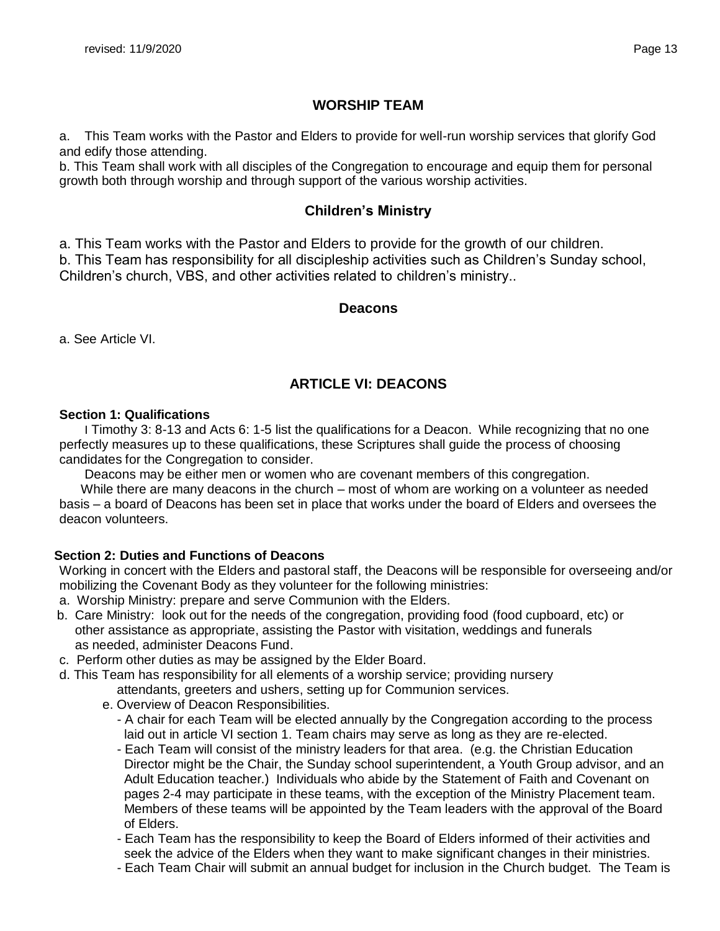# **WORSHIP TEAM**

a. This Team works with the Pastor and Elders to provide for well-run worship services that glorify God and edify those attending.

b. This Team shall work with all disciples of the Congregation to encourage and equip them for personal growth both through worship and through support of the various worship activities.

# **Children's Ministry**

a. This Team works with the Pastor and Elders to provide for the growth of our children.

b. This Team has responsibility for all discipleship activities such as Children's Sunday school, Children's church, VBS, and other activities related to children's ministry..

# **Deacons**

a. See Article VI.

# **ARTICLE VI: DEACONS**

## <span id="page-12-0"></span>**Section 1: Qualifications**

I Timothy 3: 8-13 and Acts 6: 1-5 list the qualifications for a Deacon. While recognizing that no one perfectly measures up to these qualifications, these Scriptures shall guide the process of choosing candidates for the Congregation to consider.

Deacons may be either men or women who are covenant members of this congregation.

 While there are many deacons in the church – most of whom are working on a volunteer as needed basis – a board of Deacons has been set in place that works under the board of Elders and oversees the deacon volunteers.

# **Section 2: Duties and Functions of Deacons**

Working in concert with the Elders and pastoral staff, the Deacons will be responsible for overseeing and/or mobilizing the Covenant Body as they volunteer for the following ministries:

- a. Worship Ministry: prepare and serve Communion with the Elders.
- b. Care Ministry: look out for the needs of the congregation, providing food (food cupboard, etc) or other assistance as appropriate, assisting the Pastor with visitation, weddings and funerals as needed, administer Deacons Fund.
- c. Perform other duties as may be assigned by the Elder Board.
- d. This Team has responsibility for all elements of a worship service; providing nursery attendants, greeters and ushers, setting up for Communion services.
	- e. Overview of Deacon Responsibilities.
		- A chair for each Team will be elected annually by the Congregation according to the process laid out in article VI section 1. Team chairs may serve as long as they are re-elected.
		- Each Team will consist of the ministry leaders for that area. (e.g. the Christian Education Director might be the Chair, the Sunday school superintendent, a Youth Group advisor, and an Adult Education teacher.) Individuals who abide by the Statement of Faith and Covenant on pages 2-4 may participate in these teams, with the exception of the Ministry Placement team. Members of these teams will be appointed by the Team leaders with the approval of the Board of Elders.
		- Each Team has the responsibility to keep the Board of Elders informed of their activities and seek the advice of the Elders when they want to make significant changes in their ministries.
		- Each Team Chair will submit an annual budget for inclusion in the Church budget. The Team is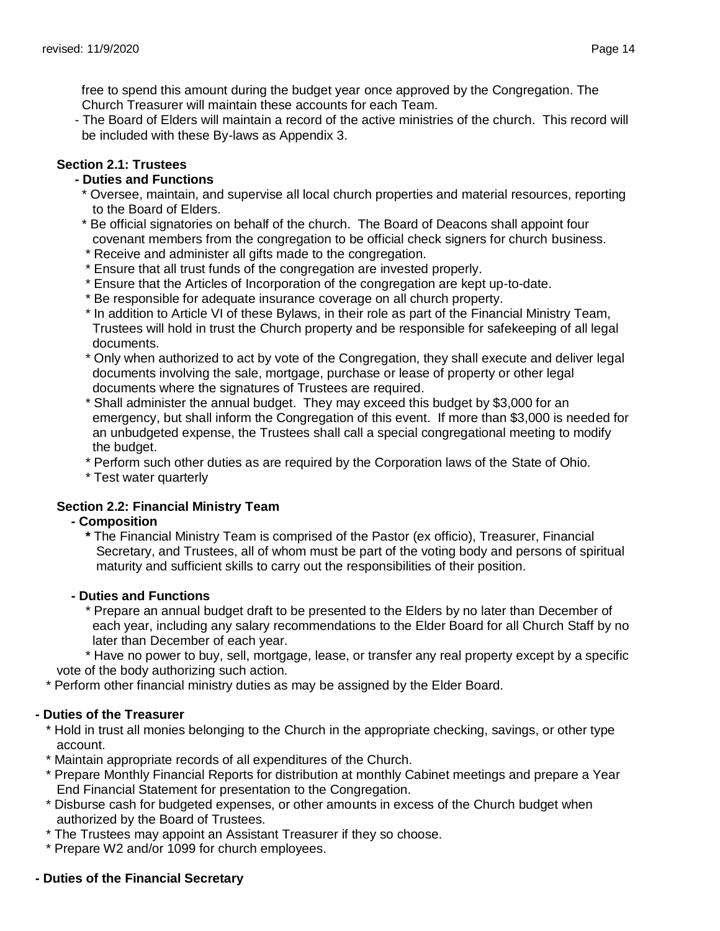free to spend this amount during the budget year once approved by the Congregation. The Church Treasurer will maintain these accounts for each Team.

 - The Board of Elders will maintain a record of the active ministries of the church. This record will be included with these By-laws as Appendix 3.

#### **Section 2.1: Trustees**

#### **- Duties and Functions**

- \* Oversee, maintain, and supervise all local church properties and material resources, reporting to the Board of Elders.
- \* Be official signatories on behalf of the church. The Board of Deacons shall appoint four covenant members from the congregation to be official check signers for church business.
- \* Receive and administer all gifts made to the congregation.
- \* Ensure that all trust funds of the congregation are invested properly.
- \* Ensure that the Articles of Incorporation of the congregation are kept up-to-date.
- \* Be responsible for adequate insurance coverage on all church property.
- \* In addition to Article VI of these Bylaws, in their role as part of the Financial Ministry Team, Trustees will hold in trust the Church property and be responsible for safekeeping of all legal documents.
- \* Only when authorized to act by vote of the Congregation, they shall execute and deliver legal documents involving the sale, mortgage, purchase or lease of property or other legal documents where the signatures of Trustees are required.
- \* Shall administer the annual budget. They may exceed this budget by \$3,000 for an emergency, but shall inform the Congregation of this event. If more than \$3,000 is needed for an unbudgeted expense, the Trustees shall call a special congregational meeting to modify the budget.
- \* Perform such other duties as are required by the Corporation laws of the State of Ohio.
- \* Test water quarterly

# **Section 2.2: Financial Ministry Team**

#### **- Composition**

- **\*** The Financial Ministry Team is comprised of the Pastor (ex officio), Treasurer, Financial Secretary, and Trustees, all of whom must be part of the voting body and persons of spiritual maturity and sufficient skills to carry out the responsibilities of their position.
- **- Duties and Functions**
	- \* Prepare an annual budget draft to be presented to the Elders by no later than December of each year, including any salary recommendations to the Elder Board for all Church Staff by no later than December of each year.

 \* Have no power to buy, sell, mortgage, lease, or transfer any real property except by a specific vote of the body authorizing such action.

\* Perform other financial ministry duties as may be assigned by the Elder Board.

#### **- Duties of the Treasurer**

- \* Hold in trust all monies belonging to the Church in the appropriate checking, savings, or other type account.
- \* Maintain appropriate records of all expenditures of the Church.
- \* Prepare Monthly Financial Reports for distribution at monthly Cabinet meetings and prepare a Year End Financial Statement for presentation to the Congregation.
- \* Disburse cash for budgeted expenses, or other amounts in excess of the Church budget when authorized by the Board of Trustees.
- \* The Trustees may appoint an Assistant Treasurer if they so choose.
- \* Prepare W2 and/or 1099 for church employees.

#### **- Duties of the Financial Secretary**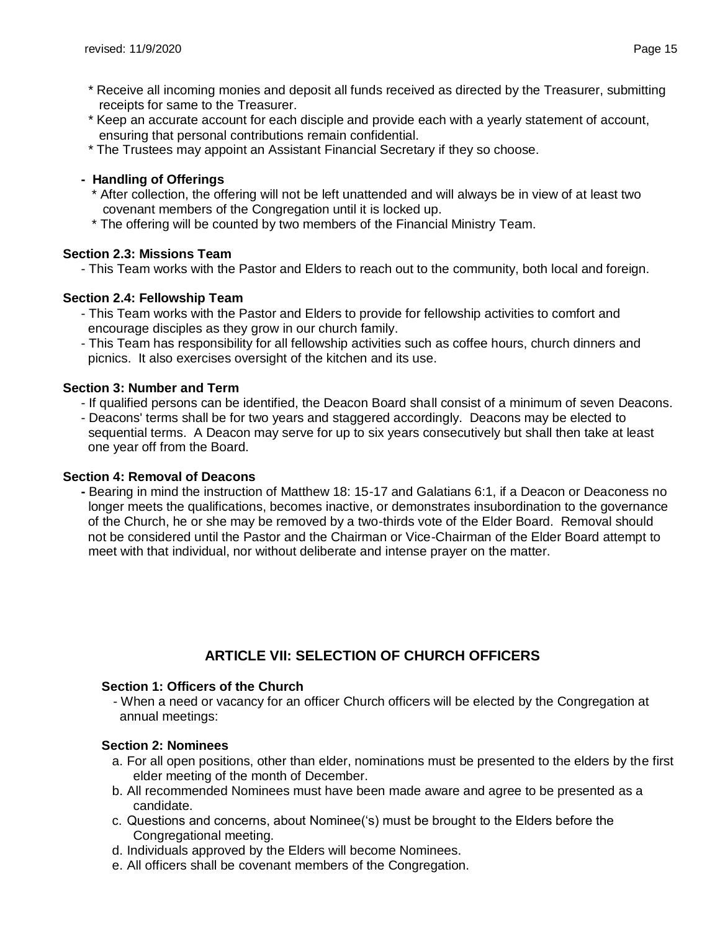- \* Receive all incoming monies and deposit all funds received as directed by the Treasurer, submitting receipts for same to the Treasurer.
- \* Keep an accurate account for each disciple and provide each with a yearly statement of account, ensuring that personal contributions remain confidential.
- \* The Trustees may appoint an Assistant Financial Secretary if they so choose.

#### **- Handling of Offerings**

- \* After collection, the offering will not be left unattended and will always be in view of at least two covenant members of the Congregation until it is locked up.
- \* The offering will be counted by two members of the Financial Ministry Team.

#### **Section 2.3: Missions Team**

- This Team works with the Pastor and Elders to reach out to the community, both local and foreign.

#### **Section 2.4: Fellowship Team**

- This Team works with the Pastor and Elders to provide for fellowship activities to comfort and encourage disciples as they grow in our church family.
- This Team has responsibility for all fellowship activities such as coffee hours, church dinners and picnics. It also exercises oversight of the kitchen and its use.

#### **Section 3: Number and Term**

- If qualified persons can be identified, the Deacon Board shall consist of a minimum of seven Deacons.
- Deacons' terms shall be for two years and staggered accordingly. Deacons may be elected to sequential terms. A Deacon may serve for up to six years consecutively but shall then take at least one year off from the Board.

#### **Section 4: Removal of Deacons**

 **-** Bearing in mind the instruction of Matthew 18: 15-17 and Galatians 6:1, if a Deacon or Deaconess no longer meets the qualifications, becomes inactive, or demonstrates insubordination to the governance of the Church, he or she may be removed by a two-thirds vote of the Elder Board. Removal should not be considered until the Pastor and the Chairman or Vice-Chairman of the Elder Board attempt to meet with that individual, nor without deliberate and intense prayer on the matter.

# **ARTICLE VII: SELECTION OF CHURCH OFFICERS**

#### **Section 1: Officers of the Church**

 - When a need or vacancy for an officer Church officers will be elected by the Congregation at annual meetings:

#### **Section 2: Nominees**

- a. For all open positions, other than elder, nominations must be presented to the elders by the first elder meeting of the month of December.
- b. All recommended Nominees must have been made aware and agree to be presented as a candidate.
- c. Questions and concerns, about Nominee('s) must be brought to the Elders before the Congregational meeting.
- d. Individuals approved by the Elders will become Nominees.
- e. All officers shall be covenant members of the Congregation.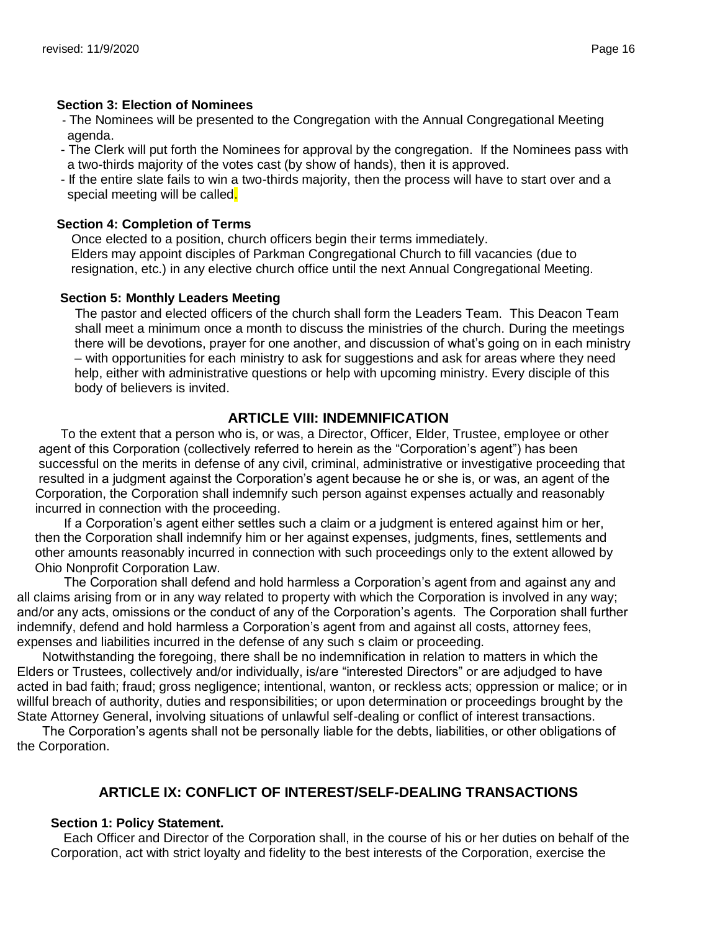#### **Section 3: Election of Nominees**

- The Nominees will be presented to the Congregation with the Annual Congregational Meeting agenda.
- The Clerk will put forth the Nominees for approval by the congregation. If the Nominees pass with a two-thirds majority of the votes cast (by show of hands), then it is approved.
- If the entire slate fails to win a two-thirds majority, then the process will have to start over and a special meeting will be called.

#### **Section 4: Completion of Terms**

Once elected to a position, church officers begin their terms immediately. Elders may appoint disciples of Parkman Congregational Church to fill vacancies (due to resignation, etc.) in any elective church office until the next Annual Congregational Meeting.

#### **Section 5: Monthly Leaders Meeting**

 The pastor and elected officers of the church shall form the Leaders Team. This Deacon Team shall meet a minimum once a month to discuss the ministries of the church. During the meetings there will be devotions, prayer for one another, and discussion of what's going on in each ministry – with opportunities for each ministry to ask for suggestions and ask for areas where they need help, either with administrative questions or help with upcoming ministry. Every disciple of this body of believers is invited.

#### **ARTICLE VIII: INDEMNIFICATION**

 To the extent that a person who is, or was, a Director, Officer, Elder, Trustee, employee or other agent of this Corporation (collectively referred to herein as the "Corporation's agent") has been successful on the merits in defense of any civil, criminal, administrative or investigative proceeding that resulted in a judgment against the Corporation's agent because he or she is, or was, an agent of the Corporation, the Corporation shall indemnify such person against expenses actually and reasonably incurred in connection with the proceeding.

 If a Corporation's agent either settles such a claim or a judgment is entered against him or her, then the Corporation shall indemnify him or her against expenses, judgments, fines, settlements and other amounts reasonably incurred in connection with such proceedings only to the extent allowed by *Ohio Nonprofit Corporation Law.* 

 The Corporation shall defend and hold harmless a Corporation's agent from and against any and all claims arising from or in any way related to property with which the Corporation is involved in any way; and/or any acts, omissions or the conduct of any of the Corporation's agents. The Corporation shall further indemnify, defend and hold harmless a Corporation's agent from and against all costs, attorney fees, expenses and liabilities incurred in the defense of any such s claim or proceeding.

Notwithstanding the foregoing, there shall be no indemnification in relation to matters in which the Elders or Trustees, collectively and/or individually, is/are "interested Directors" or are adjudged to have acted in bad faith; fraud; gross negligence; intentional, wanton, or reckless acts; oppression or malice; or in willful breach of authority, duties and responsibilities; or upon determination or proceedings brought by the State Attorney General, involving situations of unlawful self-dealing or conflict of interest transactions.

The Corporation's agents shall not be personally liable for the debts, liabilities, or other obligations of the Corporation.

#### **ARTICLE IX: CONFLICT OF INTEREST/SELF-DEALING TRANSACTIONS**

#### **Section 1: Policy Statement.**

Each Officer and Director of the Corporation shall, in the course of his or her duties on behalf of the Corporation, act with strict loyalty and fidelity to the best interests of the Corporation, exercise the